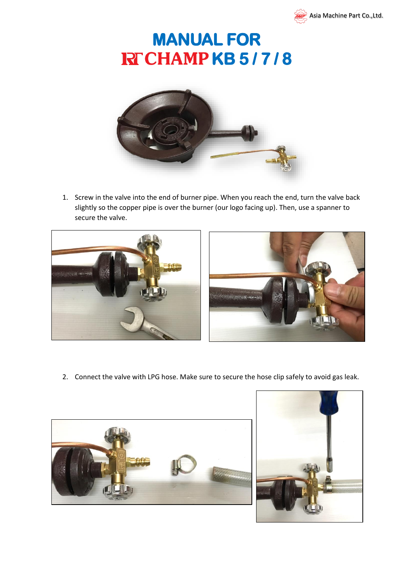

## **MANUAL FOR RFCHAMPKB5/7/8**



1. Screw in the valve into the end of burner pipe. When you reach the end, turn the valve back slightly so the copper pipe is over the burner (our logo facing up). Then, use a spanner to secure the valve.





2. Connect the valve with LPG hose. Make sure to secure the hose clip safely to avoid gas leak.